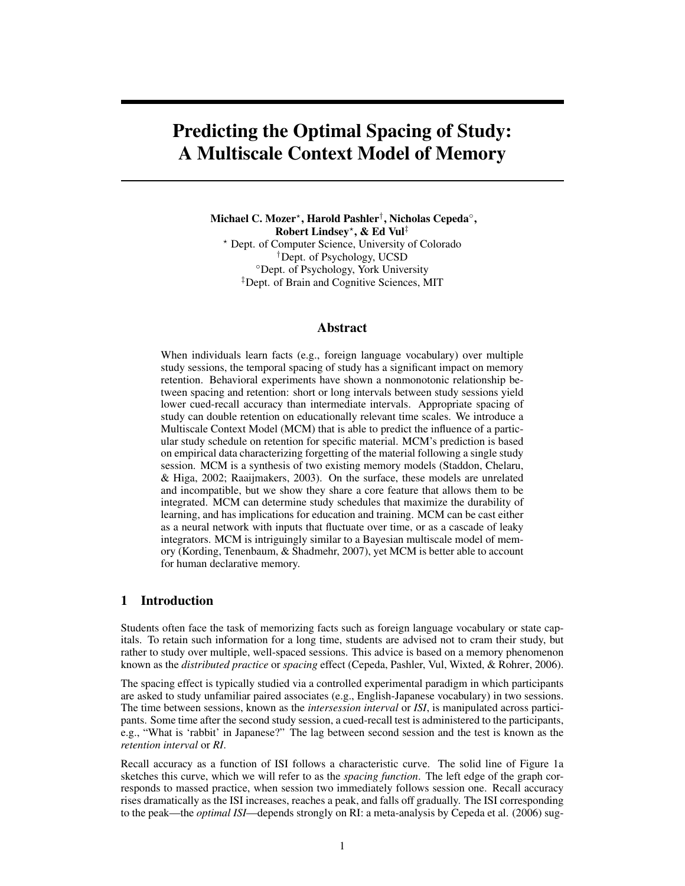# Predicting the Optimal Spacing of Study: A Multiscale Context Model of Memory

Michael C. Mozer\*, Harold Pashler†, Nicholas Cepeda°, Robert Lindsey? , & Ed Vul‡ ? Dept. of Computer Science, University of Colorado †Dept. of Psychology, UCSD ◦Dept. of Psychology, York University ‡Dept. of Brain and Cognitive Sciences, MIT

## Abstract

When individuals learn facts (e.g., foreign language vocabulary) over multiple study sessions, the temporal spacing of study has a significant impact on memory retention. Behavioral experiments have shown a nonmonotonic relationship between spacing and retention: short or long intervals between study sessions yield lower cued-recall accuracy than intermediate intervals. Appropriate spacing of study can double retention on educationally relevant time scales. We introduce a Multiscale Context Model (MCM) that is able to predict the influence of a particular study schedule on retention for specific material. MCM's prediction is based on empirical data characterizing forgetting of the material following a single study session. MCM is a synthesis of two existing memory models (Staddon, Chelaru, & Higa, 2002; Raaijmakers, 2003). On the surface, these models are unrelated and incompatible, but we show they share a core feature that allows them to be integrated. MCM can determine study schedules that maximize the durability of learning, and has implications for education and training. MCM can be cast either as a neural network with inputs that fluctuate over time, or as a cascade of leaky integrators. MCM is intriguingly similar to a Bayesian multiscale model of memory (Kording, Tenenbaum, & Shadmehr, 2007), yet MCM is better able to account for human declarative memory.

## 1 Introduction

Students often face the task of memorizing facts such as foreign language vocabulary or state capitals. To retain such information for a long time, students are advised not to cram their study, but rather to study over multiple, well-spaced sessions. This advice is based on a memory phenomenon known as the *distributed practice* or *spacing* effect (Cepeda, Pashler, Vul, Wixted, & Rohrer, 2006).

The spacing effect is typically studied via a controlled experimental paradigm in which participants are asked to study unfamiliar paired associates (e.g., English-Japanese vocabulary) in two sessions. The time between sessions, known as the *intersession interval* or *ISI*, is manipulated across participants. Some time after the second study session, a cued-recall test is administered to the participants, e.g., "What is 'rabbit' in Japanese?" The lag between second session and the test is known as the *retention interval* or *RI*.

Recall accuracy as a function of ISI follows a characteristic curve. The solid line of Figure 1a sketches this curve, which we will refer to as the *spacing function*. The left edge of the graph corresponds to massed practice, when session two immediately follows session one. Recall accuracy rises dramatically as the ISI increases, reaches a peak, and falls off gradually. The ISI corresponding to the peak—the *optimal ISI*—depends strongly on RI: a meta-analysis by Cepeda et al. (2006) sug-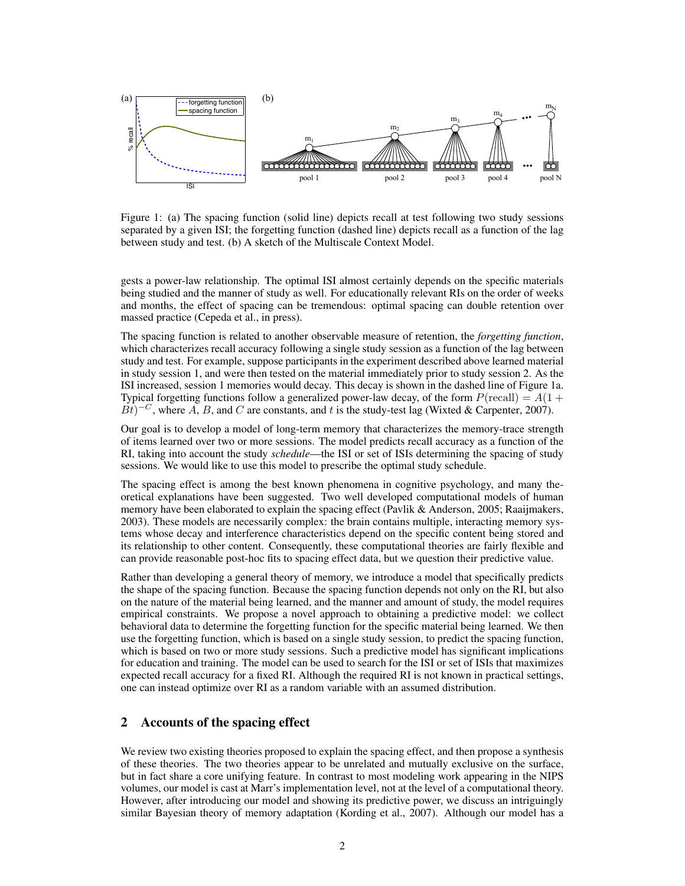

Figure 1: (a) The spacing function (solid line) depicts recall at test following two study sessions separated by a given ISI; the forgetting function (dashed line) depicts recall as a function of the lag between study and test. (b) A sketch of the Multiscale Context Model.

gests a power-law relationship. The optimal ISI almost certainly depends on the specific materials being studied and the manner of study as well. For educationally relevant RIs on the order of weeks and months, the effect of spacing can be tremendous: optimal spacing can double retention over massed practice (Cepeda et al., in press).

The spacing function is related to another observable measure of retention, the *forgetting function*, which characterizes recall accuracy following a single study session as a function of the lag between study and test. For example, suppose participants in the experiment described above learned material in study session 1, and were then tested on the material immediately prior to study session 2. As the ISI increased, session 1 memories would decay. This decay is shown in the dashed line of Figure 1a. Typical forgetting functions follow a generalized power-law decay, of the form  $P(\text{recall}) = A(1 +$  $\vec{Bt}$ )<sup>-*C*</sup>, where *A*, *B*, and *C* are constants, and *t* is the study-test lag (Wixted & Carpenter, 2007).

Our goal is to develop a model of long-term memory that characterizes the memory-trace strength of items learned over two or more sessions. The model predicts recall accuracy as a function of the RI, taking into account the study *schedule*—the ISI or set of ISIs determining the spacing of study sessions. We would like to use this model to prescribe the optimal study schedule.

The spacing effect is among the best known phenomena in cognitive psychology, and many theoretical explanations have been suggested. Two well developed computational models of human memory have been elaborated to explain the spacing effect (Pavlik & Anderson, 2005; Raaijmakers, 2003). These models are necessarily complex: the brain contains multiple, interacting memory systems whose decay and interference characteristics depend on the specific content being stored and its relationship to other content. Consequently, these computational theories are fairly flexible and can provide reasonable post-hoc fits to spacing effect data, but we question their predictive value.

Rather than developing a general theory of memory, we introduce a model that specifically predicts the shape of the spacing function. Because the spacing function depends not only on the RI, but also on the nature of the material being learned, and the manner and amount of study, the model requires empirical constraints. We propose a novel approach to obtaining a predictive model: we collect behavioral data to determine the forgetting function for the specific material being learned. We then use the forgetting function, which is based on a single study session, to predict the spacing function, which is based on two or more study sessions. Such a predictive model has significant implications for education and training. The model can be used to search for the ISI or set of ISIs that maximizes expected recall accuracy for a fixed RI. Although the required RI is not known in practical settings, one can instead optimize over RI as a random variable with an assumed distribution.

# 2 Accounts of the spacing effect

We review two existing theories proposed to explain the spacing effect, and then propose a synthesis of these theories. The two theories appear to be unrelated and mutually exclusive on the surface, but in fact share a core unifying feature. In contrast to most modeling work appearing in the NIPS volumes, our model is cast at Marr's implementation level, not at the level of a computational theory. However, after introducing our model and showing its predictive power, we discuss an intriguingly similar Bayesian theory of memory adaptation (Kording et al., 2007). Although our model has a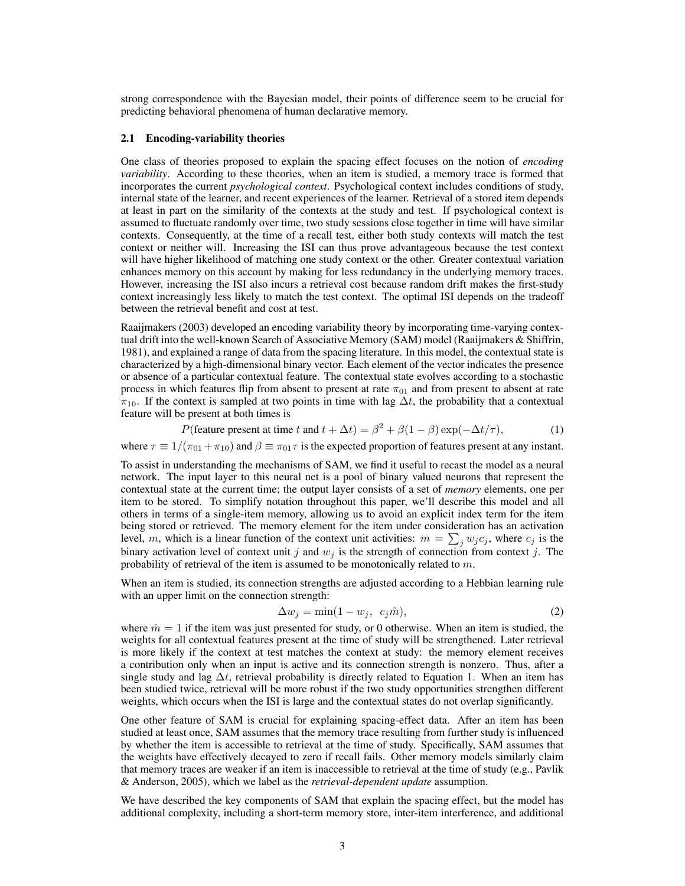strong correspondence with the Bayesian model, their points of difference seem to be crucial for predicting behavioral phenomena of human declarative memory.

#### 2.1 Encoding-variability theories

One class of theories proposed to explain the spacing effect focuses on the notion of *encoding variability*. According to these theories, when an item is studied, a memory trace is formed that incorporates the current *psychological context*. Psychological context includes conditions of study, internal state of the learner, and recent experiences of the learner. Retrieval of a stored item depends at least in part on the similarity of the contexts at the study and test. If psychological context is assumed to fluctuate randomly over time, two study sessions close together in time will have similar contexts. Consequently, at the time of a recall test, either both study contexts will match the test context or neither will. Increasing the ISI can thus prove advantageous because the test context will have higher likelihood of matching one study context or the other. Greater contextual variation enhances memory on this account by making for less redundancy in the underlying memory traces. However, increasing the ISI also incurs a retrieval cost because random drift makes the first-study context increasingly less likely to match the test context. The optimal ISI depends on the tradeoff between the retrieval benefit and cost at test.

Raaijmakers (2003) developed an encoding variability theory by incorporating time-varying contextual drift into the well-known Search of Associative Memory (SAM) model (Raaijmakers & Shiffrin, 1981), and explained a range of data from the spacing literature. In this model, the contextual state is characterized by a high-dimensional binary vector. Each element of the vector indicates the presence or absence of a particular contextual feature. The contextual state evolves according to a stochastic process in which features flip from absent to present at rate  $\pi_{01}$  and from present to absent at rate  $\pi_{10}$ . If the context is sampled at two points in time with lag  $\Delta t$ , the probability that a contextual feature will be present at both times is

$$
P(\text{feature present at time } t \text{ and } t + \Delta t) = \beta^2 + \beta(1 - \beta) \exp(-\Delta t/\tau),\tag{1}
$$

where  $\tau \equiv 1/(\pi_{01} + \pi_{10})$  and  $\beta \equiv \pi_{01}\tau$  is the expected proportion of features present at any instant.

To assist in understanding the mechanisms of SAM, we find it useful to recast the model as a neural network. The input layer to this neural net is a pool of binary valued neurons that represent the contextual state at the current time; the output layer consists of a set of *memory* elements, one per item to be stored. To simplify notation throughout this paper, we'll describe this model and all others in terms of a single-item memory, allowing us to avoid an explicit index term for the item being stored or retrieved. The memory element for the item under consideration has an activation level, m, which is a linear function of the context unit activities:  $m = \sum_j w_j c_j$ , where  $c_j$  is the binary activation level of context unit j and  $w_j$  is the strength of connection from context j. The probability of retrieval of the item is assumed to be monotonically related to m.

When an item is studied, its connection strengths are adjusted according to a Hebbian learning rule with an upper limit on the connection strength:

$$
\Delta w_j = \min(1 - w_j, \ c_j \hat{m}),\tag{2}
$$

where  $\hat{m} = 1$  if the item was just presented for study, or 0 otherwise. When an item is studied, the weights for all contextual features present at the time of study will be strengthened. Later retrieval is more likely if the context at test matches the context at study: the memory element receives a contribution only when an input is active and its connection strength is nonzero. Thus, after a single study and lag  $\Delta t$ , retrieval probability is directly related to Equation 1. When an item has been studied twice, retrieval will be more robust if the two study opportunities strengthen different weights, which occurs when the ISI is large and the contextual states do not overlap significantly.

One other feature of SAM is crucial for explaining spacing-effect data. After an item has been studied at least once, SAM assumes that the memory trace resulting from further study is influenced by whether the item is accessible to retrieval at the time of study. Specifically, SAM assumes that the weights have effectively decayed to zero if recall fails. Other memory models similarly claim that memory traces are weaker if an item is inaccessible to retrieval at the time of study (e.g., Pavlik & Anderson, 2005), which we label as the *retrieval-dependent update* assumption.

We have described the key components of SAM that explain the spacing effect, but the model has additional complexity, including a short-term memory store, inter-item interference, and additional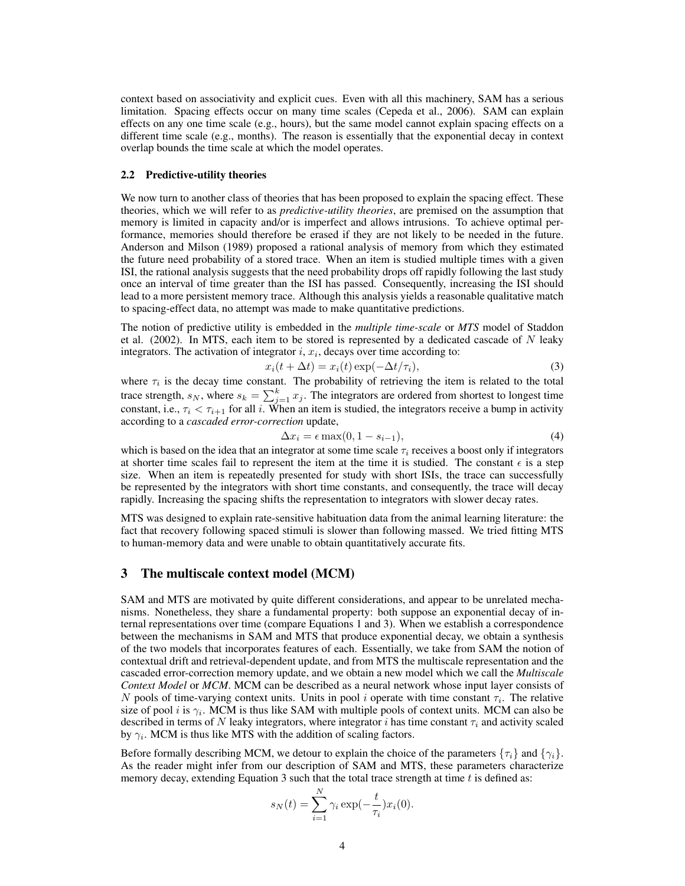context based on associativity and explicit cues. Even with all this machinery, SAM has a serious limitation. Spacing effects occur on many time scales (Cepeda et al., 2006). SAM can explain effects on any one time scale (e.g., hours), but the same model cannot explain spacing effects on a different time scale (e.g., months). The reason is essentially that the exponential decay in context overlap bounds the time scale at which the model operates.

#### 2.2 Predictive-utility theories

We now turn to another class of theories that has been proposed to explain the spacing effect. These theories, which we will refer to as *predictive-utility theories*, are premised on the assumption that memory is limited in capacity and/or is imperfect and allows intrusions. To achieve optimal performance, memories should therefore be erased if they are not likely to be needed in the future. Anderson and Milson (1989) proposed a rational analysis of memory from which they estimated the future need probability of a stored trace. When an item is studied multiple times with a given ISI, the rational analysis suggests that the need probability drops off rapidly following the last study once an interval of time greater than the ISI has passed. Consequently, increasing the ISI should lead to a more persistent memory trace. Although this analysis yields a reasonable qualitative match to spacing-effect data, no attempt was made to make quantitative predictions.

The notion of predictive utility is embedded in the *multiple time-scale* or *MTS* model of Staddon et al. (2002). In MTS, each item to be stored is represented by a dedicated cascade of  $N$  leaky integrators. The activation of integrator  $i, x_i$ , decays over time according to:

$$
x_i(t + \Delta t) = x_i(t) \exp(-\Delta t/\tau_i), \tag{3}
$$

where  $\tau_i$  is the decay time constant. The probability of retrieving the item is related to the total trace strength,  $s_N$ , where  $s_k = \sum_{j=1}^k x_j$ . The integrators are ordered from shortest to longest time constant, i.e.,  $\tau_i < \tau_{i+1}$  for all i. When an item is studied, the integrators receive a bump in activity according to a *cascaded error-correction* update,

$$
\Delta x_i = \epsilon \max(0, 1 - s_{i-1}),\tag{4}
$$

which is based on the idea that an integrator at some time scale  $\tau_i$  receives a boost only if integrators at shorter time scales fail to represent the item at the time it is studied. The constant  $\epsilon$  is a step size. When an item is repeatedly presented for study with short ISIs, the trace can successfully be represented by the integrators with short time constants, and consequently, the trace will decay rapidly. Increasing the spacing shifts the representation to integrators with slower decay rates.

MTS was designed to explain rate-sensitive habituation data from the animal learning literature: the fact that recovery following spaced stimuli is slower than following massed. We tried fitting MTS to human-memory data and were unable to obtain quantitatively accurate fits.

# 3 The multiscale context model (MCM)

SAM and MTS are motivated by quite different considerations, and appear to be unrelated mechanisms. Nonetheless, they share a fundamental property: both suppose an exponential decay of internal representations over time (compare Equations 1 and 3). When we establish a correspondence between the mechanisms in SAM and MTS that produce exponential decay, we obtain a synthesis of the two models that incorporates features of each. Essentially, we take from SAM the notion of contextual drift and retrieval-dependent update, and from MTS the multiscale representation and the cascaded error-correction memory update, and we obtain a new model which we call the *Multiscale Context Model* or *MCM*. MCM can be described as a neural network whose input layer consists of N pools of time-varying context units. Units in pool i operate with time constant  $\tau_i$ . The relative size of pool *i* is  $\gamma_i$ . MCM is thus like SAM with multiple pools of context units. MCM can also be described in terms of N leaky integrators, where integrator i has time constant  $\tau_i$  and activity scaled by  $\gamma_i$ . MCM is thus like MTS with the addition of scaling factors.

Before formally describing MCM, we detour to explain the choice of the parameters  $\{\tau_i\}$  and  $\{\gamma_i\}$ . As the reader might infer from our description of SAM and MTS, these parameters characterize memory decay, extending Equation 3 such that the total trace strength at time  $t$  is defined as:

$$
s_N(t) = \sum_{i=1}^N \gamma_i \exp(-\frac{t}{\tau_i}) x_i(0).
$$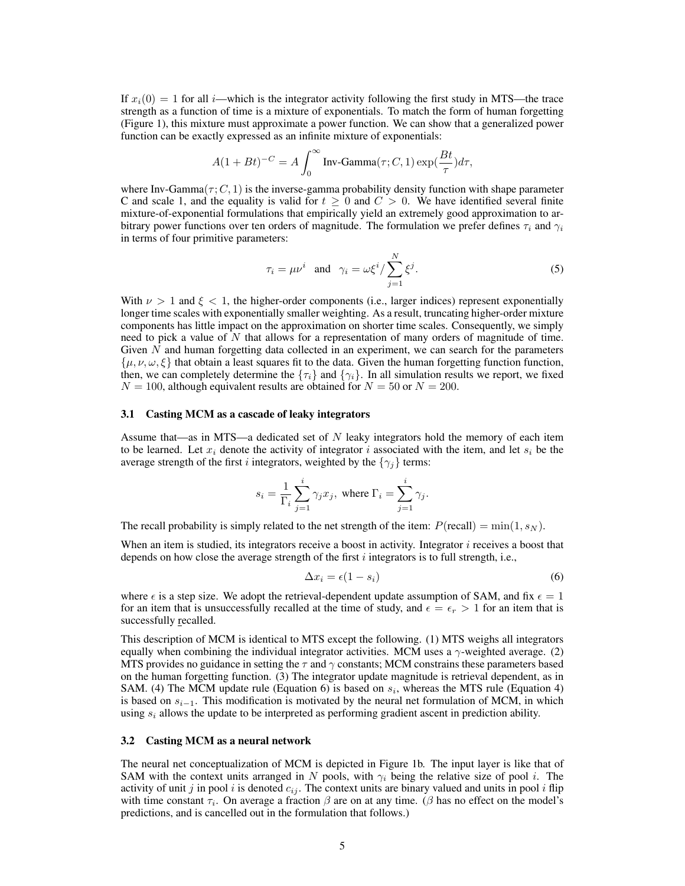If  $x_i(0) = 1$  for all *i*—which is the integrator activity following the first study in MTS—the trace strength as a function of time is a mixture of exponentials. To match the form of human forgetting (Figure 1), this mixture must approximate a power function. We can show that a generalized power function can be exactly expressed as an infinite mixture of exponentials:

$$
A(1 + Bt)^{-C} = A \int_0^\infty \text{Inv-Gamma}(\tau; C, 1) \exp(\frac{Bt}{\tau}) d\tau,
$$

where Inv-Gamma $(\tau; C, 1)$  is the inverse-gamma probability density function with shape parameter C and scale 1, and the equality is valid for  $t \geq 0$  and  $C > 0$ . We have identified several finite mixture-of-exponential formulations that empirically yield an extremely good approximation to arbitrary power functions over ten orders of magnitude. The formulation we prefer defines  $\tau_i$  and  $\gamma_i$ in terms of four primitive parameters:

$$
\tau_i = \mu \nu^i \quad \text{and} \quad \gamma_i = \omega \xi^i / \sum_{j=1}^N \xi^j. \tag{5}
$$

With  $\nu > 1$  and  $\xi < 1$ , the higher-order components (i.e., larger indices) represent exponentially longer time scales with exponentially smaller weighting. As a result, truncating higher-order mixture components has little impact on the approximation on shorter time scales. Consequently, we simply need to pick a value of N that allows for a representation of many orders of magnitude of time. Given  $N$  and human forgetting data collected in an experiment, we can search for the parameters  $\{\mu, \nu, \omega, \xi\}$  that obtain a least squares fit to the data. Given the human forgetting function function, then, we can completely determine the  $\{\tau_i\}$  and  $\{\gamma_i\}$ . In all simulation results we report, we fixed  $N = 100$ , although equivalent results are obtained for  $N = 50$  or  $N = 200$ .

#### 3.1 Casting MCM as a cascade of leaky integrators

Assume that—as in MTS—a dedicated set of N leaky integrators hold the memory of each item to be learned. Let  $x_i$  denote the activity of integrator i associated with the item, and let  $s_i$  be the average strength of the first *i* integrators, weighted by the  $\{\gamma_i\}$  terms:

$$
s_i = \frac{1}{\Gamma_i} \sum_{j=1}^i \gamma_j x_j, \text{ where } \Gamma_i = \sum_{j=1}^i \gamma_j.
$$

The recall probability is simply related to the net strength of the item:  $P(\text{recall}) = \min(1, s_N)$ .

When an item is studied, its integrators receive a boost in activity. Integrator  $i$  receives a boost that depends on how close the average strength of the first  $i$  integrators is to full strength, i.e.,

$$
\Delta x_i = \epsilon (1 - s_i) \tag{6}
$$

where  $\epsilon$  is a step size. We adopt the retrieval-dependent update assumption of SAM, and fix  $\epsilon = 1$ for an item that is unsuccessfully recalled at the time of study, and  $\epsilon = \epsilon_r > 1$  for an item that is successfully recalled.

This description of MCM is identical to MTS except the following. (1) MTS weighs all integrators equally when combining the individual integrator activities. MCM uses a  $\gamma$ -weighted average. (2) MTS provides no guidance in setting the  $\tau$  and  $\gamma$  constants; MCM constrains these parameters based on the human forgetting function. (3) The integrator update magnitude is retrieval dependent, as in SAM. (4) The MCM update rule (Equation 6) is based on  $s_i$ , whereas the MTS rule (Equation 4) is based on  $s_{i-1}$ . This modification is motivated by the neural net formulation of MCM, in which using  $s_i$  allows the update to be interpreted as performing gradient ascent in prediction ability.

#### 3.2 Casting MCM as a neural network

The neural net conceptualization of MCM is depicted in Figure 1b. The input layer is like that of SAM with the context units arranged in N pools, with  $\gamma_i$  being the relative size of pool i. The activity of unit j in pool i is denoted  $c_{ij}$ . The context units are binary valued and units in pool i flip with time constant  $\tau_i$ . On average a fraction  $\beta$  are on at any time. ( $\beta$  has no effect on the model's predictions, and is cancelled out in the formulation that follows.)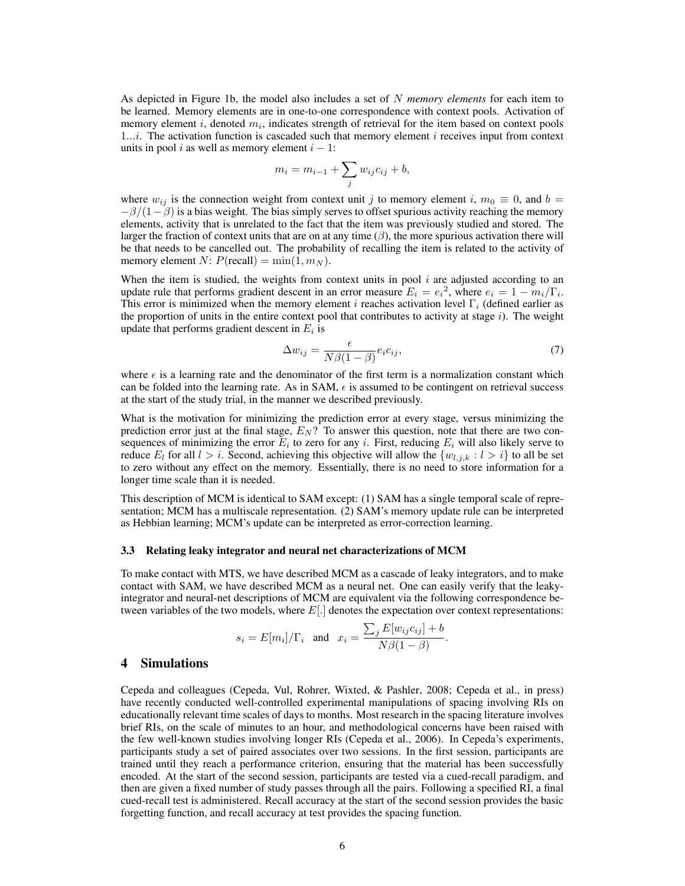As depicted in Figure 1b, the model also includes a set of N *memory elements* for each item to be learned. Memory elements are in one-to-one correspondence with context pools. Activation of memory element  $i$ , denoted  $m_i$ , indicates strength of retrieval for the item based on context pools 1...*i*. The activation function is cascaded such that memory element *i* receives input from context units in pool i as well as memory element  $i - 1$ :

$$
m_i = m_{i-1} + \sum_j w_{ij} c_{ij} + b,
$$

where  $w_{ij}$  is the connection weight from context unit j to memory element i,  $m_0 \equiv 0$ , and  $b =$  $-\beta/(1-\beta)$  is a bias weight. The bias simply serves to offset spurious activity reaching the memory elements, activity that is unrelated to the fact that the item was previously studied and stored. The larger the fraction of context units that are on at any time  $(\beta)$ , the more spurious activation there will be that needs to be cancelled out. The probability of recalling the item is related to the activity of memory element N:  $P(\text{recall}) = \min(1, m_N)$ .

When the item is studied, the weights from context units in pool  $i$  are adjusted according to an update rule that performs gradient descent in an error measure  $E_i = e_i^2$ , where  $e_i = 1 - m_i/\Gamma_i$ . This error is minimized when the memory element i reaches activation level  $\Gamma_i$  (defined earlier as the proportion of units in the entire context pool that contributes to activity at stage  $i$ ). The weight update that performs gradient descent in  $E_i$  is

$$
\Delta w_{ij} = \frac{\epsilon}{N\beta(1-\beta)} e_i c_{ij},\tag{7}
$$

where  $\epsilon$  is a learning rate and the denominator of the first term is a normalization constant which can be folded into the learning rate. As in SAM,  $\epsilon$  is assumed to be contingent on retrieval success at the start of the study trial, in the manner we described previously.

What is the motivation for minimizing the prediction error at every stage, versus minimizing the prediction error just at the final stage,  $E_N$ ? To answer this question, note that there are two consequences of minimizing the error  $E_i$  to zero for any i. First, reducing  $E_i$  will also likely serve to reduce  $E_l$  for all  $l > i$ . Second, achieving this objective will allow the  $\{w_{l,j,k} : l > i\}$  to all be set to zero without any effect on the memory. Essentially, there is no need to store information for a longer time scale than it is needed.

This description of MCM is identical to SAM except: (1) SAM has a single temporal scale of representation; MCM has a multiscale representation. (2) SAM's memory update rule can be interpreted as Hebbian learning; MCM's update can be interpreted as error-correction learning.

#### 3.3 Relating leaky integrator and neural net characterizations of MCM

To make contact with MTS, we have described MCM as a cascade of leaky integrators, and to make contact with SAM, we have described MCM as a neural net. One can easily verify that the leakyintegrator and neural-net descriptions of MCM are equivalent via the following correspondence between variables of the two models, where  $E[.]$  denotes the expectation over context representations:

$$
s_i = E[m_i]/\Gamma_i
$$
 and  $x_i = \frac{\sum_j E[w_{ij}c_{ij}] + b}{N\beta(1 - \beta)}$ .

# 4 Simulations

Cepeda and colleagues (Cepeda, Vul, Rohrer, Wixted, & Pashler, 2008; Cepeda et al., in press) have recently conducted well-controlled experimental manipulations of spacing involving RIs on educationally relevant time scales of days to months. Most research in the spacing literature involves brief RIs, on the scale of minutes to an hour, and methodological concerns have been raised with the few well-known studies involving longer RIs (Cepeda et al., 2006). In Cepeda's experiments, participants study a set of paired associates over two sessions. In the first session, participants are trained until they reach a performance criterion, ensuring that the material has been successfully encoded. At the start of the second session, participants are tested via a cued-recall paradigm, and then are given a fixed number of study passes through all the pairs. Following a specified RI, a final cued-recall test is administered. Recall accuracy at the start of the second session provides the basic forgetting function, and recall accuracy at test provides the spacing function.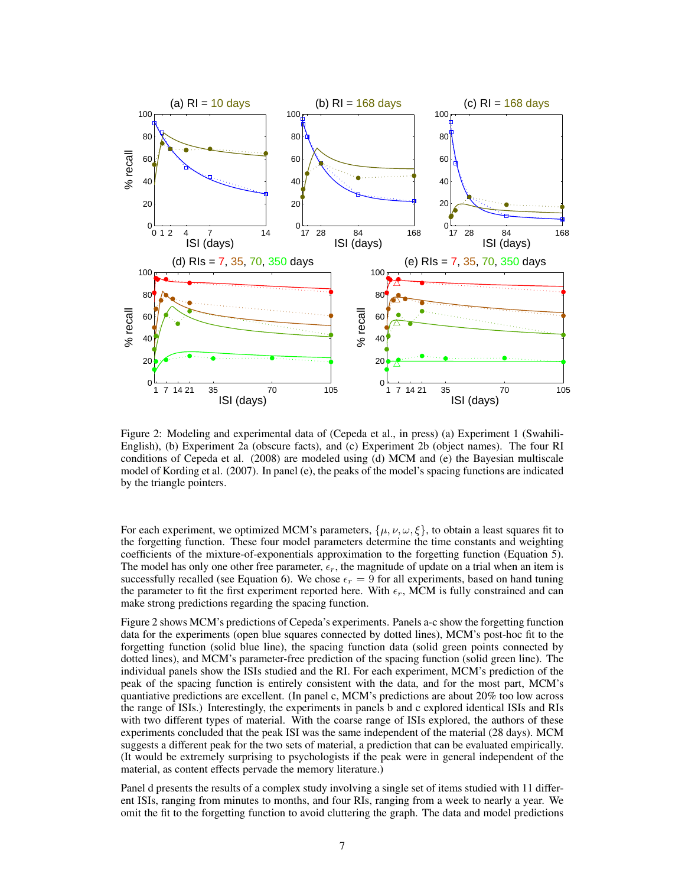

Figure 2: Modeling and experimental data of (Cepeda et al., in press) (a) Experiment 1 (Swahili-English), (b) Experiment 2a (obscure facts), and (c) Experiment 2b (object names). The four RI conditions of Cepeda et al. (2008) are modeled using (d) MCM and (e) the Bayesian multiscale model of Kording et al. (2007). In panel (e), the peaks of the model's spacing functions are indicated by the triangle pointers.

For each experiment, we optimized MCM's parameters,  $\{\mu, \nu, \omega, \xi\}$ , to obtain a least squares fit to the forgetting function. These four model parameters determine the time constants and weighting coefficients of the mixture-of-exponentials approximation to the forgetting function (Equation 5). The model has only one other free parameter,  $\epsilon_r$ , the magnitude of update on a trial when an item is successfully recalled (see Equation 6). We chose  $\epsilon_r = 9$  for all experiments, based on hand tuning the parameter to fit the first experiment reported here. With  $\epsilon_r$ , MCM is fully constrained and can make strong predictions regarding the spacing function.

Figure 2 shows MCM's predictions of Cepeda's experiments. Panels a-c show the forgetting function data for the experiments (open blue squares connected by dotted lines), MCM's post-hoc fit to the forgetting function (solid blue line), the spacing function data (solid green points connected by dotted lines), and MCM's parameter-free prediction of the spacing function (solid green line). The individual panels show the ISIs studied and the RI. For each experiment, MCM's prediction of the peak of the spacing function is entirely consistent with the data, and for the most part, MCM's quantiative predictions are excellent. (In panel c, MCM's predictions are about 20% too low across the range of ISIs.) Interestingly, the experiments in panels b and c explored identical ISIs and RIs with two different types of material. With the coarse range of ISIs explored, the authors of these experiments concluded that the peak ISI was the same independent of the material (28 days). MCM suggests a different peak for the two sets of material, a prediction that can be evaluated empirically. (It would be extremely surprising to psychologists if the peak were in general independent of the material, as content effects pervade the memory literature.)

Panel d presents the results of a complex study involving a single set of items studied with 11 different ISIs, ranging from minutes to months, and four RIs, ranging from a week to nearly a year. We omit the fit to the forgetting function to avoid cluttering the graph. The data and model predictions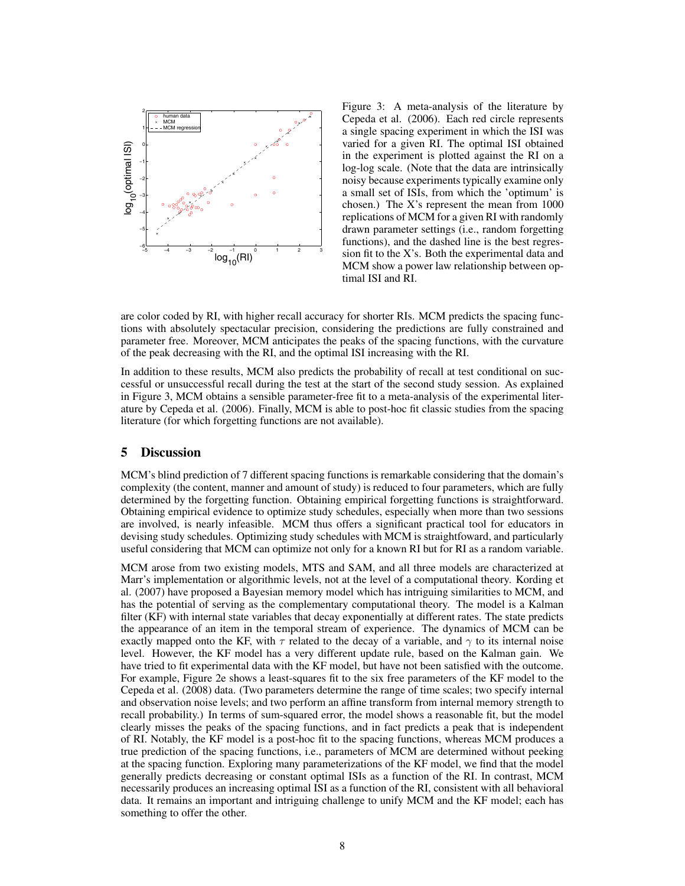

Figure 3: A meta-analysis of the literature by Cepeda et al. (2006). Each red circle represents a single spacing experiment in which the ISI was varied for a given RI. The optimal ISI obtained in the experiment is plotted against the RI on a log-log scale. (Note that the data are intrinsically noisy because experiments typically examine only a small set of ISIs, from which the 'optimum' is chosen.) The X's represent the mean from 1000 replications of MCM for a given RI with randomly drawn parameter settings (i.e., random forgetting functions), and the dashed line is the best regression fit to the X's. Both the experimental data and MCM show a power law relationship between optimal ISI and RI.

are color coded by RI, with higher recall accuracy for shorter RIs. MCM predicts the spacing functions with absolutely spectacular precision, considering the predictions are fully constrained and parameter free. Moreover, MCM anticipates the peaks of the spacing functions, with the curvature of the peak decreasing with the RI, and the optimal ISI increasing with the RI.

In addition to these results, MCM also predicts the probability of recall at test conditional on successful or unsuccessful recall during the test at the start of the second study session. As explained in Figure 3, MCM obtains a sensible parameter-free fit to a meta-analysis of the experimental literature by Cepeda et al. (2006). Finally, MCM is able to post-hoc fit classic studies from the spacing literature (for which forgetting functions are not available).

# 5 Discussion

MCM's blind prediction of 7 different spacing functions is remarkable considering that the domain's complexity (the content, manner and amount of study) is reduced to four parameters, which are fully determined by the forgetting function. Obtaining empirical forgetting functions is straightforward. Obtaining empirical evidence to optimize study schedules, especially when more than two sessions are involved, is nearly infeasible. MCM thus offers a significant practical tool for educators in devising study schedules. Optimizing study schedules with MCM is straightfoward, and particularly useful considering that MCM can optimize not only for a known RI but for RI as a random variable.

MCM arose from two existing models, MTS and SAM, and all three models are characterized at Marr's implementation or algorithmic levels, not at the level of a computational theory. Kording et al. (2007) have proposed a Bayesian memory model which has intriguing similarities to MCM, and has the potential of serving as the complementary computational theory. The model is a Kalman filter (KF) with internal state variables that decay exponentially at different rates. The state predicts the appearance of an item in the temporal stream of experience. The dynamics of MCM can be exactly mapped onto the KF, with  $\tau$  related to the decay of a variable, and  $\gamma$  to its internal noise level. However, the KF model has a very different update rule, based on the Kalman gain. We have tried to fit experimental data with the KF model, but have not been satisfied with the outcome. For example, Figure 2e shows a least-squares fit to the six free parameters of the KF model to the Cepeda et al. (2008) data. (Two parameters determine the range of time scales; two specify internal and observation noise levels; and two perform an affine transform from internal memory strength to recall probability.) In terms of sum-squared error, the model shows a reasonable fit, but the model clearly misses the peaks of the spacing functions, and in fact predicts a peak that is independent of RI. Notably, the KF model is a post-hoc fit to the spacing functions, whereas MCM produces a true prediction of the spacing functions, i.e., parameters of MCM are determined without peeking at the spacing function. Exploring many parameterizations of the KF model, we find that the model generally predicts decreasing or constant optimal ISIs as a function of the RI. In contrast, MCM necessarily produces an increasing optimal ISI as a function of the RI, consistent with all behavioral data. It remains an important and intriguing challenge to unify MCM and the KF model; each has something to offer the other.